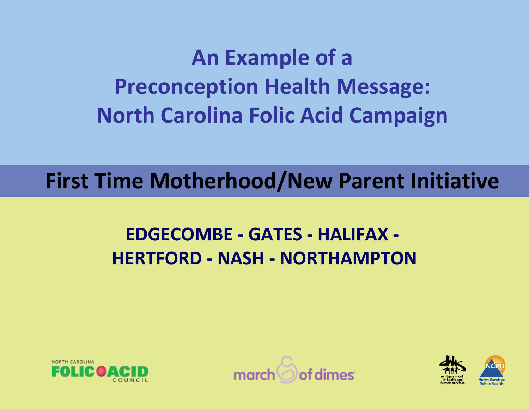# **An Example of <sup>a</sup> Preconception Health Message: North Carolina Folic Acid Campaign**

**First Time Motherhood/New Parent Initiative**

#### **EDGECOMBE ‐ GATES ‐ HALIFAX ‐ HERTFORD ‐ NASH ‐ NORTHAMPTON**





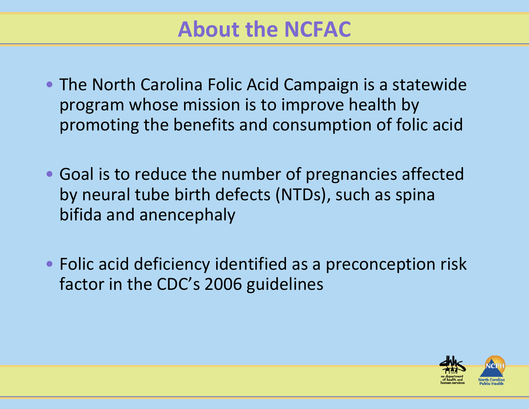### **About the NCFAC**

- The North Carolina Folic Acid Campaign is <sup>a</sup> statewide program whose mission is to improve health by promoting the benefits and consumption of folic acid
- Goal is to reduce the number of pregnancies affected by neural tube birth defects (NTDs), such as spina bifida and anencephaly
- Folic acid deficiency identified as <sup>a</sup> preconception risk factor in the CDC's 2006 guidelines

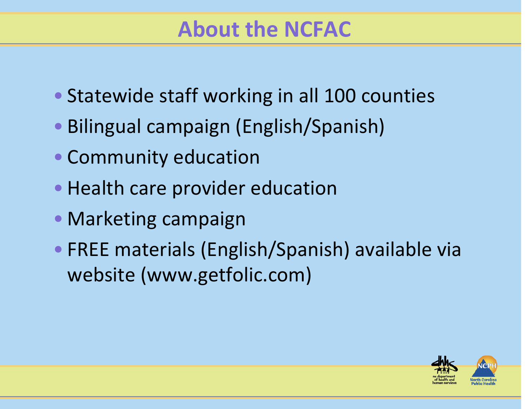## **About the NCFAC**

- Statewide staff working in all 100 counties
- Bilingual campaign (English/Spanish)
- Community education
- Health care provider education
- Marketing campaign
- FREE materials (English/Spanish) available via website (www.getfolic.com)

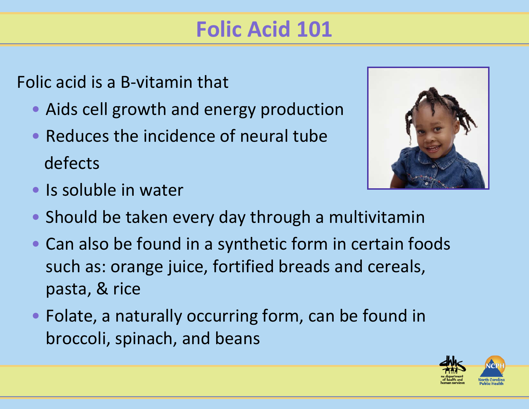# **Folic Acid 101**

Folic acid is <sup>a</sup> B‐vitamin that

- Aids cell growth and energy production
- Reduces the incidence of neural tube defects



- Is soluble in water
- Should be taken every day through <sup>a</sup> multivitamin
- Can also be found in <sup>a</sup> synthetic form in certain foods such as: orange juice, fortified breads and cereals, pasta, & rice
- Folate, <sup>a</sup> naturally occurring form, can be found in broccoli, spinach, and beans

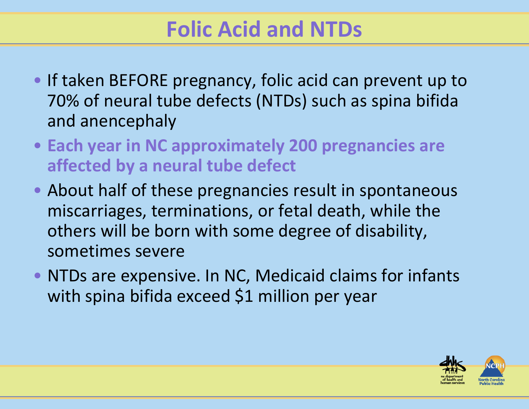# **Folic Acid and NTDs**

- If taken BEFORE pregnancy, folic acid can prevent up to 70% of neural tube defects (NTDs) such as spina bifida and anencephaly
- **Each year in NC approximately 200 pregnancies are affected by <sup>a</sup> neural tube defect**
- About half of these pregnancies result in spontaneous miscarriages, terminations, or fetal death, while the others will be born with some degree of disability, sometimes severe
- NTDs are expensive. In NC, Medicaid claims for infants with spina bifida exceed \$1 million per year

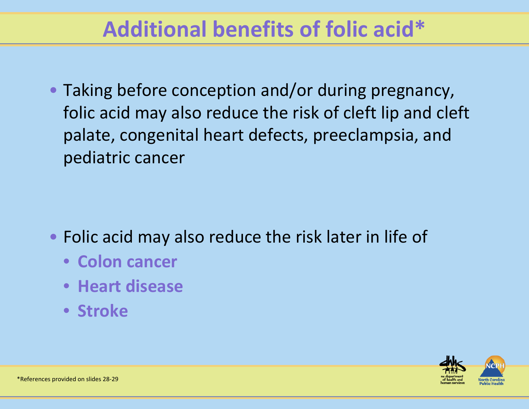# **Additional benefits of folic acid\***

• Taking before conception and/or during pregnancy, folic acid may also reduce the risk of cleft lip and cleft palate, congenital heart defects, preeclampsia, and pediatric cancer

- Folic acid may also reduce the risk later in life of
	- **Colon cancer**
	- **Heart disease**
	- **Stroke**

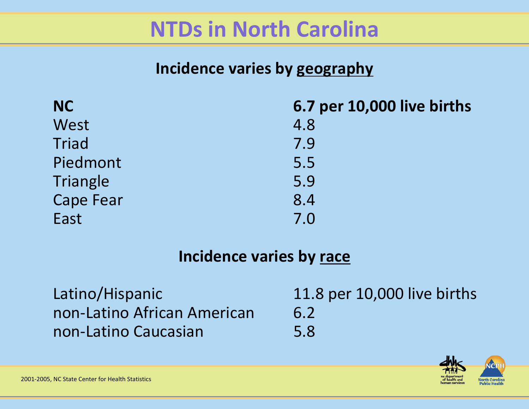### **NTDs in North Carolina**

#### **Incidence varies by geography**

| <b>NC</b>        | 6.7 per 10,000 live births |
|------------------|----------------------------|
| West             | 4.8                        |
| Triad            | 7.9                        |
| Piedmont         | 5.5                        |
| Triangle         | 5.9                        |
| <b>Cape Fear</b> | 8.4                        |
| East             | 7.0                        |

#### **Incidence varies by race**

Latino/Hispanic 11.8 per 10,000 live births non‐Latino African American 6.2 non‐Latino Caucasian 5.8

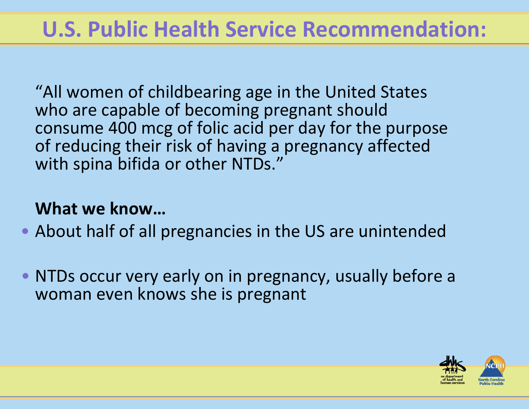# **U.S. Public Health Service Recommendation:**

"All women of childbearing age in the United States who are capable of becoming pregnant should consume 400 mcg of folic acid per day for the purpose of reducing their risk of having <sup>a</sup> pregnancy affected with spina bifida or other NTDs."

#### **What we know…**

- About half of all pregnancies in the US are unintended
- NTDs occur very early on in pregnancy, usually before <sup>a</sup> woman even knows she is pregnant

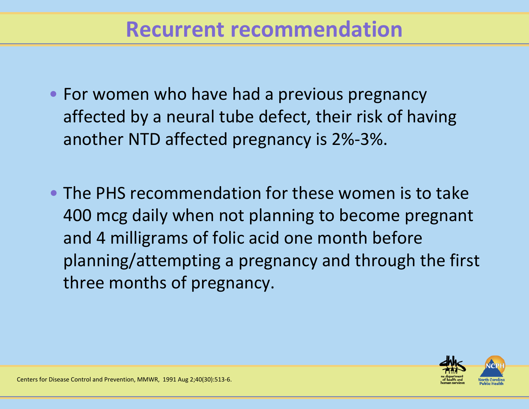- For women who have had <sup>a</sup> previous pregnancy affected by <sup>a</sup> neural tube defect, their risk of having another NTD affected pregnancy is 2%‐3%.
- The PHS recommendation for these women is to take 400 mcg daily when not planning to become pregnant and 4 milligrams of folic acid one month before planning/attempting <sup>a</sup> pregnancy and through the first three months of pregnancy.

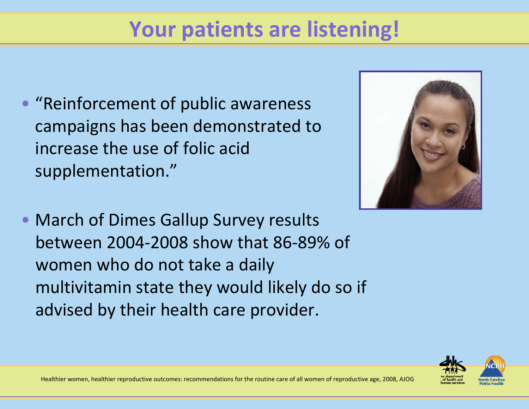# **Your patients are listening!**

• "Reinforcement of public awareness campaigns has been demonstrated to increase the use of folic acidsupplementation."



• March of Dimes Gallup Survey results between 2004‐2008 show that 86‐89% of women who do not take <sup>a</sup> daily multivitamin state they would likely do so if advised by their health care provider.

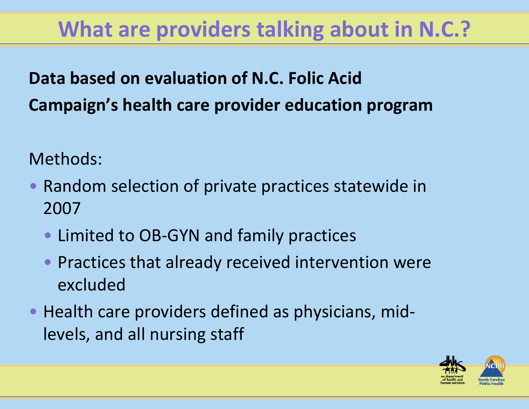# **What are providers talking about in N.C.?**

### **Data based on evaluation of N.C. Folic Acid Campaign's health care provider education program**

Methods:

- $\bullet$  Random selection of private practices statewide in 2007
	- Limited to OB‐GYN and family practices
	- Practices that already received intervention were excluded
- Health care providers defined as physicians, mid‐ levels, and all nursing staff

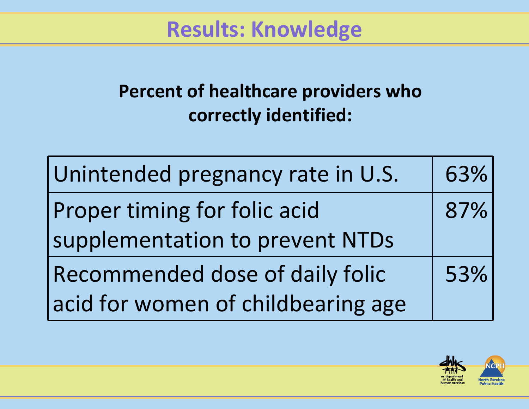**Results: Knowledge**

#### **Percent of healthcare providers who correctly identified:**

| Unintended pregnancy rate in U.S.  | 63% |
|------------------------------------|-----|
| Proper timing for folic acid       | 87% |
| supplementation to prevent NTDs    |     |
| Recommended dose of daily folic    | 53% |
| acid for women of childbearing age |     |

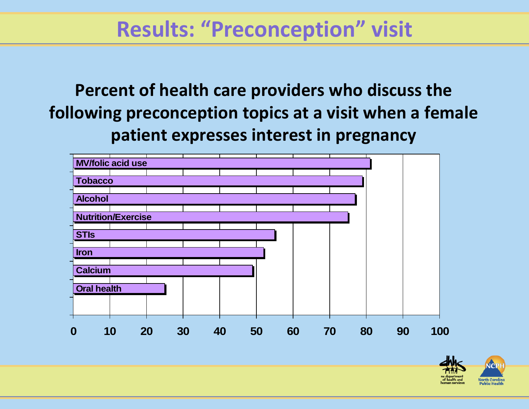### **Results: "Preconception" visit**

**Percent of health care providers who discuss the following preconception topics at <sup>a</sup> visit when <sup>a</sup> female patient expresses interest in pregnancy**



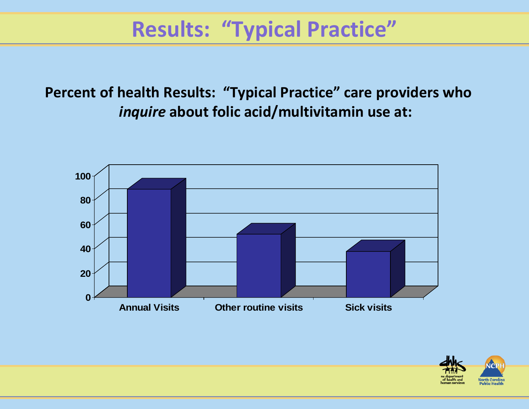# **Results: "Typical Practice"**

**Percent of health Results: "Typical Practice" care providers who** *inquire* **about folic acid/multivitamin use at:**



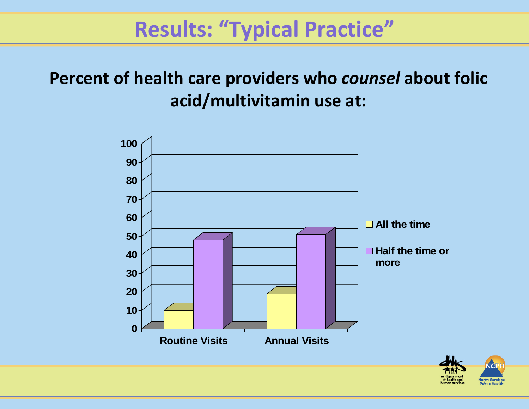### **Results: "Typical Practice"**

#### **Percent of health care providers who** *counsel* **about folic acid/multivitamin use at:**



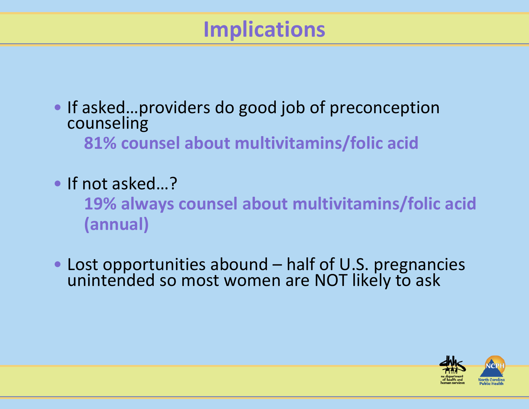# **Implications**

- If asked…providers do good job of preconception counseling **81% counsel about multivitamins/folic acid**
- If not asked...?

**19% always counsel about multivitamins/folic acid (annual)**

• Lost opportunities abound – half of U.S. pregnancies<br>unintended so most women are NOT likely to ask d so most women are NOT likely to ask

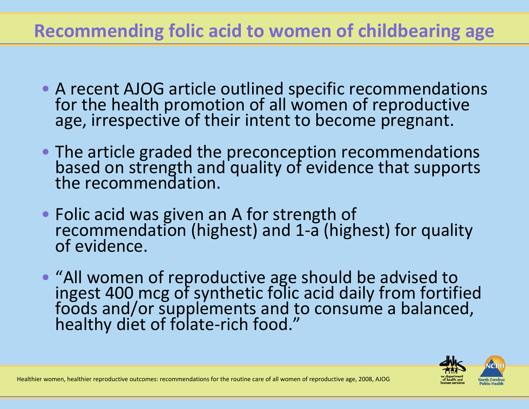#### **Recommending folic acid to women of childbearing age**

- A recent AJOG article outlined specific recommendations for the health promotion of all women of reproductive the health promotion of all women of reproductive age, irrespective of their intent to become pregnant.
- The article graded the preconception recommendations<br>based on strength and quality of evidence that supports based on strength and quality of evidence that supports the recommendation.
- Folic acid was given an A for strength of<br>recommendation (highest) and 1-a (high recommendation (highest) and 1-a (highest) for quality<br>of evidence. of evidence.
- "All women of reproductive age should be advised to ingest 400 mcg of synthetic folic acid daily from fortified<br>foods and/or supplements and to consume a balanced. foods and/or supplements and to consume a balanced,<br>healthy diet of folate-rich food."

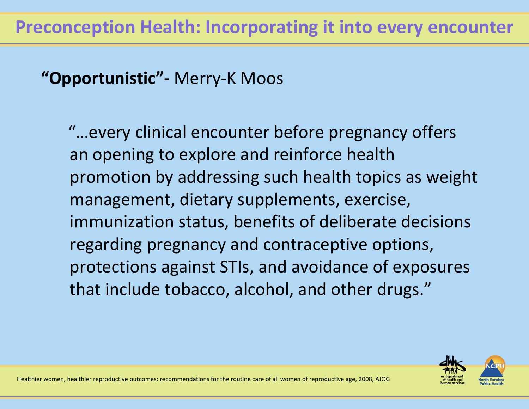#### **"Opportunistic"‐** Merry‐K Moos

"…every clinical encounter before pregnancy offers an opening to explore and reinforce health promotion by addressing such health topics as weight management, dietary supplements, exercise, immunization status, benefits of deliberate decisions regarding pregnancy and contraceptive options, protections against STIs, and avoidance of exposures that include tobacco, alcohol, and other drugs."

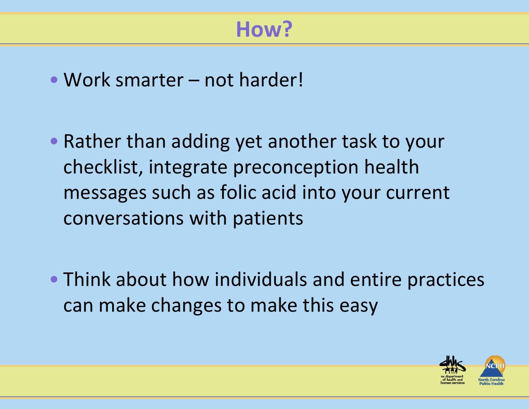# **How?**

- Work smarter not harder!
- Rather than adding yet another task to your checklist, integrate preconception health messages such as folic acid into your current conversations with patients
- Think about how individuals and entire practices can make changes to make this easy

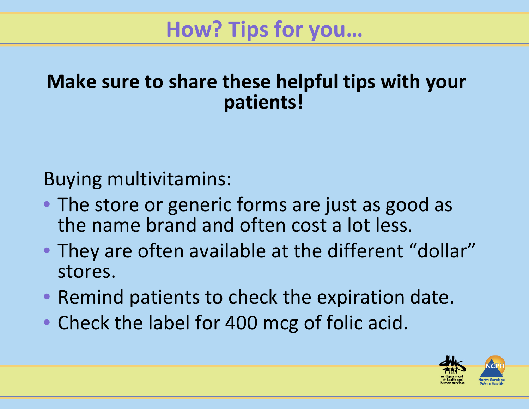# **How? Tips for you…**

#### **Make sure to share these helpful tips with your patients!**

Buying multivitamins:

- The store or generic forms are just as good as the name brand and often cost <sup>a</sup> lot less.
- They are often available at the different "dollar" stores.
- Remind patients to check the expiration date.
- Check the label for 400 mcg of folic acid.

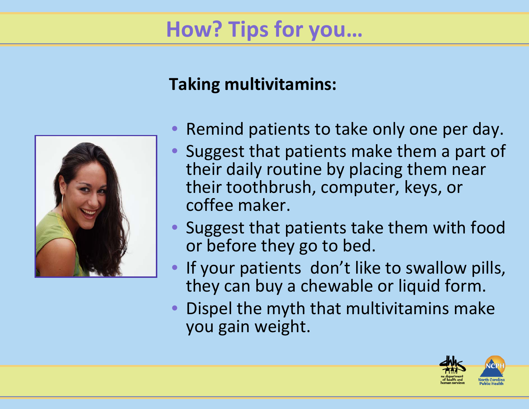# **How? Tips for you…**

#### **Taking multivitamins:**



- Remind patients to take only one per day.
- Suggest that patients make them <sup>a</sup> part of their daily routine by placing them near their toothbrush, computer, keys, or coffee maker.
- Suggest that patients take them with food or before they go to bed.
- If your patients don't like to swallow pills, they can buy <sup>a</sup> chewable or liquid form.
- Dispel the myth that multivitamins make you gain weight.

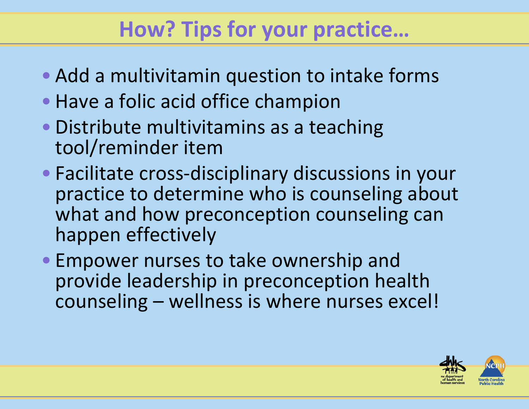# **How? Tips for your practice…**

- Add <sup>a</sup> multivitamin question to intake forms
- Have <sup>a</sup> folic acid office champion
- Distribute multivitamins as <sup>a</sup> teaching tool/reminder item
- Facilitate cross‐disciplinary discussions in your practice to determine who is counseling about what and how preconception counseling can happen effectively
- Empower nurses to take ownership and provide leadership in preconception health counseling – wellness is where nurses excel!

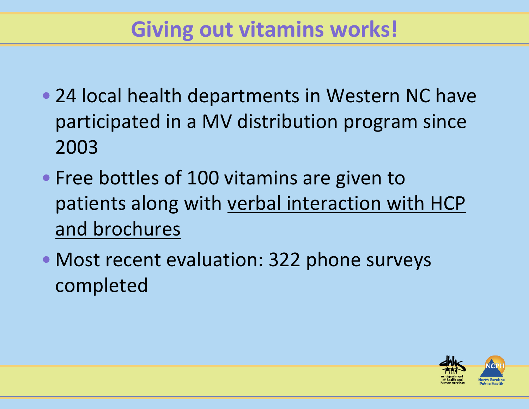# **Giving out vitamins works!**

- 24 local health departments in Western NC have participated in <sup>a</sup> MV distribution program since 2003
- Free bottles of 100 vitamins are given to patients along with verbal interaction with HCP and brochures
- Most recent evaluation: 322 phone surveys completed

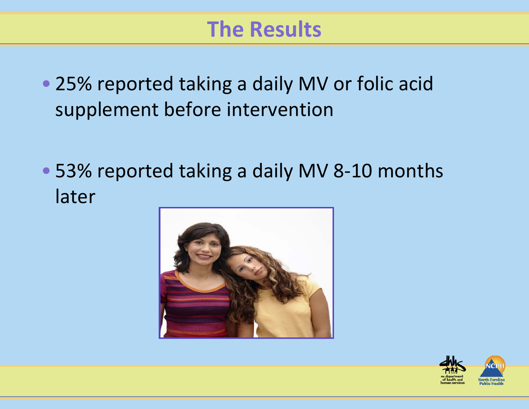- 25% reported taking <sup>a</sup> daily MV or folic acid supplement before intervention
- 53% reported taking <sup>a</sup> daily MV 8‐10 months later



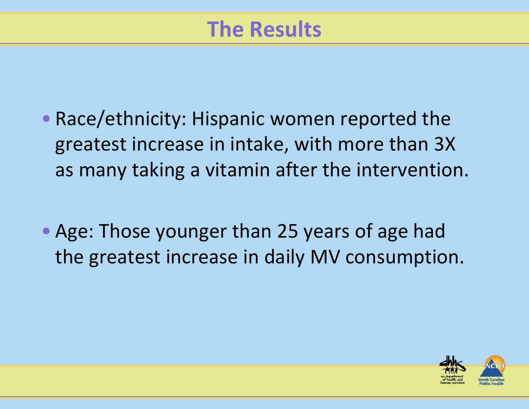- Race/ethnicity: Hispanic women reported the greatest increase in intake, with more than 3X as many taking <sup>a</sup> vitamin after the intervention.
- Age: Those younger than 25 years of age had the greatest increase in daily MV consumption.

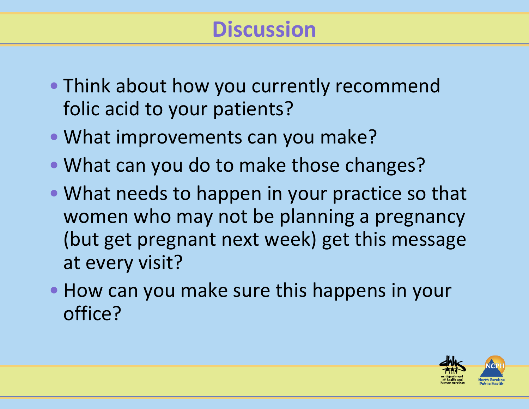# **Discussion**

- Think about how you currently recommend folic acid to your patients?
- What improvements can you make?
- What can you do to make those changes?
- What needs to happen in your practice so that women who may not be planning <sup>a</sup> pregnancy (but get pregnant next week) get this message at every visit?
- How can you make sure this happens in your office?

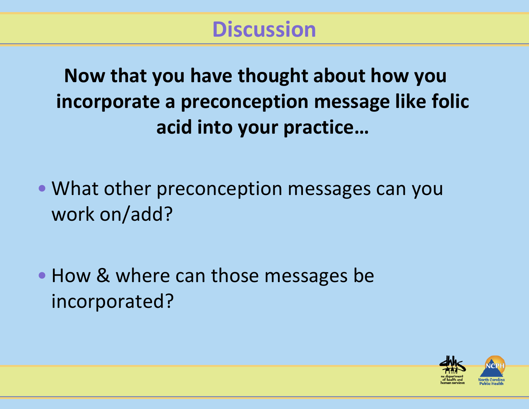**Now that you have thought about how you incorporate <sup>a</sup> preconception message like folic acid into your practice…**

• What other preconception messages can you work on/add?

• How & where can those messages be incorporated?

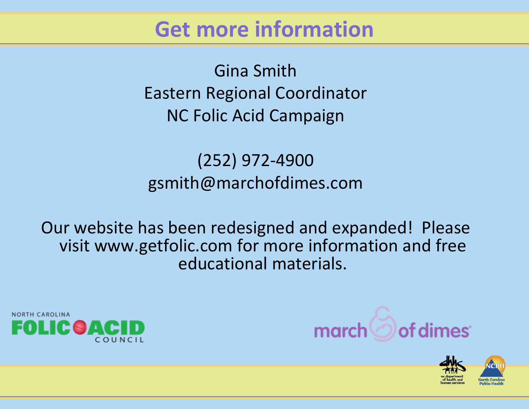#### **Get more information**

Gina SmithEastern Regional Coordinator NC Folic Acid Campaign

(252) 972‐4900 gsmith@marchofdimes.com

Our website has been redesigned and expanded! Please visit www.getfolic.com for more information and free educational materials.





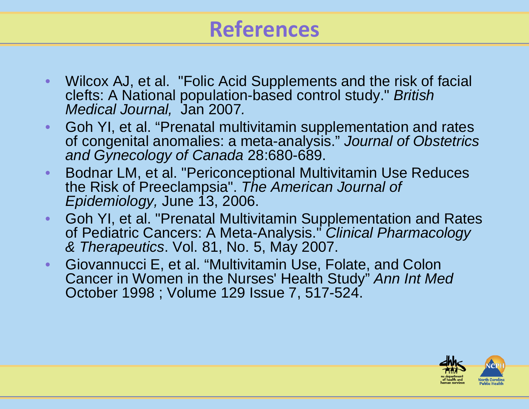# **References**

- Wilcox AJ, et al. "Folic Acid Supplements and the risk of facial clefts: A National population-based control study." *British Medical Journal,* Jan 2007*.*
- Goh YI, et al. "Prenatal multivitamin supplementation and rates of congenital anomalies: a meta-analysis." *Journal of Obstetrics and Gynecology of Canada* 28:680-689.
- Bodnar LM, et al. "Periconceptional Multivitamin Use Reduces the Risk of Preeclampsia". *The American Journal of Epidemiology,* June 13, 2006.
- Goh YI, et al. "Prenatal Multivitamin Supplementation and Rates of Pediatric Cancers: A Meta-Analysis." *Clinical Pharmacology & Therapeutics*. Vol. 81, No. 5, May 2007.
- Giovannucci E, et al. "Multivitamin Use, Folate, and Colon Cancer in Women in the Nurses' Health Study" *Ann Int Med*  October 1998 ; Volume 129 Issue 7, 517-524.